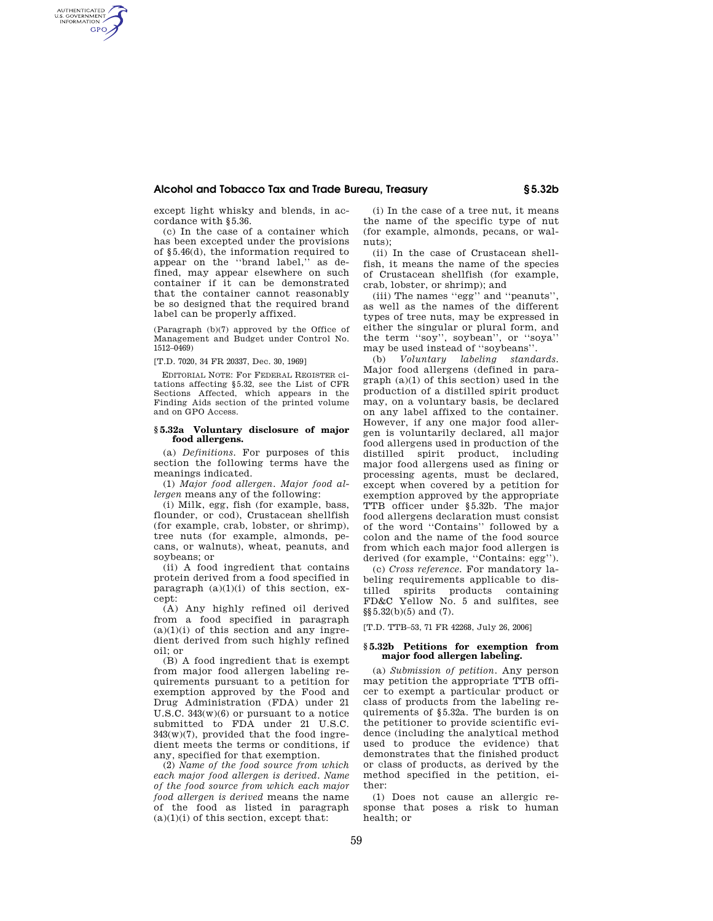## **Alcohol and Tobacco Tax and Trade Bureau, Treasury § 5.32b**

except light whisky and blends, in accordance with §5.36.

AUTHENTICATED<br>U.S. GOVERNMENT<br>INFORMATION **GPO** 

> (c) In the case of a container which has been excepted under the provisions of §5.46(d), the information required to appear on the ''brand label,'' as defined, may appear elsewhere on such container if it can be demonstrated that the container cannot reasonably be so designed that the required brand label can be properly affixed.

> (Paragraph (b)(7) approved by the Office of Management and Budget under Control No. 1512–0469)

[T.D. 7020, 34 FR 20337, Dec. 30, 1969]

EDITORIAL NOTE: For FEDERAL REGISTER citations affecting §5.32, see the List of CFR Sections Affected, which appears in the Finding Aids section of the printed volume and on GPO Access.

## **§ 5.32a Voluntary disclosure of major food allergens.**

(a) *Definitions.* For purposes of this section the following terms have the meanings indicated.

(1) *Major food allergen. Major food allergen* means any of the following:

(i) Milk, egg, fish (for example, bass, flounder, or cod), Crustacean shellfish (for example, crab, lobster, or shrimp), tree nuts (for example, almonds, pecans, or walnuts), wheat, peanuts, and soybeans; or

(ii) A food ingredient that contains protein derived from a food specified in paragraph  $(a)(1)(i)$  of this section, except:

(A) Any highly refined oil derived from a food specified in paragraph  $(a)(1)(i)$  of this section and any ingredient derived from such highly refined oil; or

(B) A food ingredient that is exempt from major food allergen labeling requirements pursuant to a petition for exemption approved by the Food and Drug Administration (FDA) under 21 U.S.C. 343(w)(6) or pursuant to a notice submitted to FDA under 21 U.S.C. 343(w)(7), provided that the food ingredient meets the terms or conditions, if any, specified for that exemption.

(2) *Name of the food source from which each major food allergen is derived. Name of the food source from which each major food allergen is derived* means the name of the food as listed in paragraph  $(a)(1)(i)$  of this section, except that:

(i) In the case of a tree nut, it means the name of the specific type of nut (for example, almonds, pecans, or walnuts);

(ii) In the case of Crustacean shellfish, it means the name of the species of Crustacean shellfish (for example, crab, lobster, or shrimp); and

(iii) The names ''egg'' and ''peanuts'', as well as the names of the different types of tree nuts, may be expressed in either the singular or plural form, and the term ''soy'', soybean'', or ''soya'' may be used instead of ''soybeans''.

(b) *Voluntary labeling standards.*  Major food allergens (defined in paragraph (a)(1) of this section) used in the production of a distilled spirit product may, on a voluntary basis, be declared on any label affixed to the container. However, if any one major food allergen is voluntarily declared, all major food allergens used in production of the distilled spirit product, including major food allergens used as fining or processing agents, must be declared, except when covered by a petition for exemption approved by the appropriate TTB officer under §5.32b. The major food allergens declaration must consist of the word ''Contains'' followed by a colon and the name of the food source from which each major food allergen is derived (for example, ''Contains: egg'').

(c) *Cross reference.* For mandatory labeling requirements applicable to distilled spirits products containing FD&C Yellow No. 5 and sulfites, see §§5.32(b)(5) and (7).

[T.D. TTB–53, 71 FR 42268, July 26, 2006]

## **§ 5.32b Petitions for exemption from major food allergen labeling.**

(a) *Submission of petition.* Any person may petition the appropriate TTB officer to exempt a particular product or class of products from the labeling requirements of §5.32a. The burden is on the petitioner to provide scientific evidence (including the analytical method used to produce the evidence) that demonstrates that the finished product or class of products, as derived by the method specified in the petition, either:

(1) Does not cause an allergic response that poses a risk to human health; or